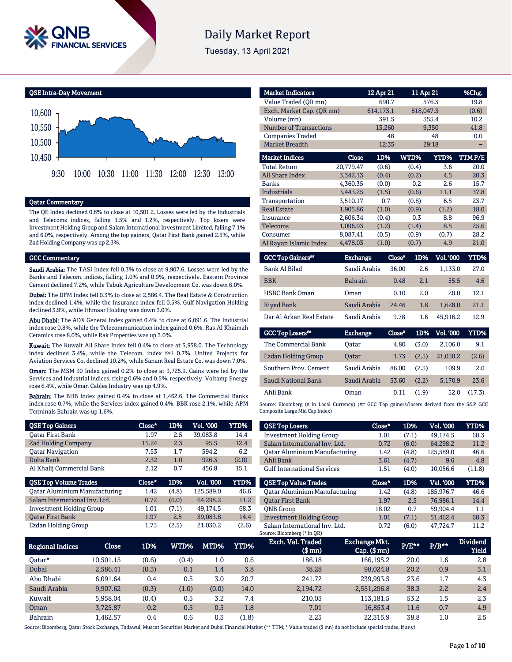

# **Daily Market Report**

Tuesday, 13 April 2021

QSE Intra-Day Movement



### Qatar Commentary

The QE Index declined 0.6% to close at 10,501.2. Losses were led by the Industrials and Telecoms indices, falling 1.5% and 1.2%, respectively. Top losers were Investment Holding Group and Salam International Investment Limited, falling 7.1% and 6.0%, respectively. Among the top gainers, Qatar First Bank gained 2.5%, while Zad Holding Company was up 2.3%.

#### GCC Commentary

Saudi Arabia: The TASI Index fell 0.3% to close at 9,907.6. Losses were led by the Banks and Telecom. indices, falling 1.0% and 0.9%, respectively. Eastern Province Cement declined 7.2%, while Tabuk Agriculture Development Co. was down 6.0%.

Dubai: The DFM Index fell 0.3% to close at 2,586.4. The Real Estate & Construction index declined 1.4%, while the Insurance index fell 0.5%. Gulf Navigation Holding declined 3.9%, while Ithmaar Holding was down 3.0%.

Abu Dhabi: The ADX General Index gained 0.4% to close at 6,091.6. The Industrial index rose 0.8%, while the Telecommunication index gained 0.6%. Ras Al Khaimah Ceramics rose 8.0%, while Rak Properties was up 3.0%.

Kuwait: The Kuwait All Share Index fell 0.4% to close at 5,958.0. The Technology index declined 3.4%, while the Telecom. index fell 0.7%. United Projects for Aviation Services Co. declined 10.2%, while Sanam Real Estate Co. was down 7.0%.

Oman: The MSM 30 Index gained 0.2% to close at 3,725.9. Gains were led by the Services and Industrial indices, rising 0.6% and 0.5%, respectively. Voltamp Energy rose 6.4%, while Oman Cables Industry was up 4.9%.

Bahrain: The BHB Index gained 0.4% to close at 1,462.6. The Commercial Banks index rose 0.7%, while the Services index gained 0.4%. BBK rose 2.1%, while APM Terminals Bahrain was up 1.6%.

| <b>QSE Top Gainers</b>               | Close* | 1D%   | <b>Vol. '000</b> | YTD%        |
|--------------------------------------|--------|-------|------------------|-------------|
| Oatar First Bank                     | 1.97   | 2.5   | 39.083.8         | 14.4        |
| <b>Zad Holding Company</b>           | 15.24  | 2.3   | 95.5             | 12.4        |
| <b>Oatar Navigation</b>              | 7.53   | 1.7   | 594.2            | 6.2         |
| Doha Bank                            | 2.32   | 1.0   | 926.3            | (2.0)       |
| Al Khalij Commercial Bank            | 2.12   | 0.7   | 456.8            | 15.1        |
|                                      |        |       |                  |             |
| <b>QSE Top Volume Trades</b>         | Close* | 1D%   | <b>Vol. '000</b> | <b>YTD%</b> |
| <b>Qatar Aluminium Manufacturing</b> | 1.42   | (4.8) | 125.589.0        | 46.6        |
| Salam International Inv. Ltd.        | 0.72   | (6.0) | 64.298.2         | 11.2        |
| <b>Investment Holding Group</b>      | 1.01   | (7.1) | 49.174.5         | 68.3        |
| <b>Oatar First Bank</b>              | 1.97   | 2.5   | 39.083.8         | 14.4        |

| <b>Market Indicators</b>      |                | 12 Apr 21 |               | <u>11</u> Apr 21 | %Chg.   |
|-------------------------------|----------------|-----------|---------------|------------------|---------|
| Value Traded (QR mn)          |                | 690.7     |               | 576.3            | 19.8    |
| Exch. Market Cap. (QR mn)     |                | 614,173.1 |               | 618,047.3        | (0.6)   |
| Volume (mn)                   |                | 391.5     |               | 355.4            | 10.2    |
| <b>Number of Transactions</b> |                | 13,260    |               | 9,350            | 41.8    |
| <b>Companies Traded</b>       |                | 48        |               | 48               | 0.0     |
| <b>Market Breadth</b>         |                | 12:35     |               | 29:18            |         |
| <b>Market Indices</b>         | Close          | 1D%       | WTD%          | YTD%             | TTM P/E |
| <b>Total Return</b>           | 20,779.47      | (0.6)     | (0.4)         | 3.6              | 20.0    |
| <b>All Share Index</b>        | 3,342.13       | (0.4)     | (0.2)         | 4.5              | 20.3    |
| <b>Banks</b>                  | 4,360.35       | (0.0)     | 0.2           | 2.6              | 15.7    |
| <b>Industrials</b>            | 3,443.25       | (1.5)     | (0.6)         | 11.1             | 37.8    |
| Transportation                | 3,510.17       | 0.7       | (0.8)         | 6.5              | 23.7    |
| <b>Real Estate</b>            | 1,905.86       | (1.0)     | (0.9)         | (1.2)            | 18.0    |
| Insurance                     | 2,606.34       | (0.4)     | 0.3           | 8.8              | 96.9    |
| Telecoms                      | 1,096.93       | (1.2)     | (1.4)         | 8.5              | 25.6    |
| Consumer                      | 8,087.41       | (0.5)     | (0.9)         | (0.7)            | 28.2    |
| Al Rayan Islamic Index        | 4,478.03       | (1.0)     | (0.7)         | 4.9              | 21.0    |
| <b>GCC Top Gainers**</b>      | Exchange       |           | 1D%<br>Close" | <b>Vol. '000</b> | YTD%    |
| <b>Bank Al Bilad</b>          | Saudi Arabia   |           | 36.00         | 1,133.0<br>2.6   | 27.0    |
| <b>BBK</b>                    | <b>Bahrain</b> |           | 0.48          | 2.1<br>55.5      | 4.6     |

| <b>HSBC Bank Oman</b>    | Oman               | 0.10 | 2 O | 20.0         | 12.1 |
|--------------------------|--------------------|------|-----|--------------|------|
| Riyad Bank               | Saudi Arabia 24.46 |      | 1.8 | 1.628.0      | 21.1 |
| Dar Al Arkan Real Estate | Saudi Arabia       | 9.78 |     | 1.6 45.916.2 | 12.9 |

| <b>GCC Top Losers</b> | <b>Exchange</b> | Close* | 1D%   | Vol. '000 | YTD%   |
|-----------------------|-----------------|--------|-------|-----------|--------|
| The Commercial Bank   | Oatar           | 4.80   | (3.0) | 2,106.0   | 9.1    |
| Ezdan Holding Group   | <b>Oatar</b>    | 1.73   | (2.5) | 21.030.2  | (2.6)  |
| Southern Prov. Cement | Saudi Arabia    | 86.00  | (2.3) | 109.9     | 2.0    |
| Saudi National Bank   | Saudi Arabia    | 53.60  | (2.2) | 5,170.9   | 23.6   |
| Ahli Bank             | Oman            | 0.11   | (1.9) | 52.0      | (17.3) |

Source: Bloomberg (# in Local Currency) (## GCC Top gainers/losers derived from the S&P GCC Composite Large Mid Cap Index)

| <b>QSE Top Losers</b>                | Close* | 1D%   | <b>Vol. '000</b> | <b>YTD%</b> |
|--------------------------------------|--------|-------|------------------|-------------|
| <b>Investment Holding Group</b>      | 1.01   | (7.1) | 49.174.5         | 68.3        |
| Salam International Inv. Ltd.        | 0.72   | (6.0) | 64.298.2         | 11.2        |
| <b>Qatar Aluminium Manufacturing</b> | 1.42   | (4.8) | 125,589.0        | 46.6        |
| Ahli Bank                            | 3.61   | (4.7) | 9.6              | 4.8         |
| <b>Gulf International Services</b>   | 1.51   | (4.0) | 10.056.6         | (11.8)      |
|                                      |        |       |                  |             |
| <b>OSE Top Value Trades</b>          | Close* | 1D%   | Val. '000        | YTD%        |
| <b>Qatar Aluminium Manufacturing</b> | 1.42   | (4.8) | 185.976.7        | 46.6        |
| <b>Oatar First Bank</b>              | 1.97   | 2.5   | 76.986.1         | 14.4        |
| <b>ONB</b> Group                     | 18.02  | 0.7   | 59.904.4         | 1.1         |
| <b>Investment Holding Group</b>      | 1.01   | (7.1) | 51,462.4         | 68.3        |

| Regional Indices | Close     | 1D%   | WTD%  | MTD%  | YTD%  | Exch. Val. Traded<br>$$$ mn $)$ | <b>Exchange Mkt.</b><br>$Cap.$ (\$ mn) | <b>P/E**</b> | $P/B**$ | <b>Dividend</b><br><b>Yield</b> |
|------------------|-----------|-------|-------|-------|-------|---------------------------------|----------------------------------------|--------------|---------|---------------------------------|
| 0atar*           | 10.501.15 | (0.6) | (0.4) | 1.0   | 0.6   | 186.18                          | 166,195.2                              | 20.0         | $1.6\,$ | 2.8                             |
| Dubai            | 2.586.41  | (0.3) | 0.1   | 1.4   | 3.8   | 38.28                           | 98,024.8                               | 20.2         | 0.9     | 3.1                             |
| Abu Dhabi        | 6.091.64  | 0.4   | 0.5   | 3.0   | 20.7  | 241.72                          | 239.993.5                              | 23.6         | 1.7     | 4.3                             |
| Saudi Arabia     | 9,907.62  | (0.3) | (1.0) | (0.0) | 14.0  | 2,194.72                        | 2,551,296.8                            | 38.3         | 2.2     | 2.4                             |
| Kuwait           | 5.958.04  | (0.4) | 0.5   | 3.2   | 7.4   | 210.03                          | 113.181.5                              | 53.2         | 1.5     | 2.3                             |
| Oman             | 3.725.87  | 0.2   | 0.5   | 0.5   | 1.8   | 7.01                            | 16.853.4                               | 11.6         | 0.7     | 4.9                             |
| <b>Bahrain</b>   | .462.57   | 0.4   | 0.6   | 0.3   | (1.8) | 2.25                            | 22.315.9                               | 38.8         | $1.0\,$ | 2.5                             |

Source: Bloomberg, Qatar Stock Exchange, Tadawul, Muscat Securities Market and Dubai Financial Market (\*\* TTM; \* Value traded (\$ mn) do not include special trades, if any)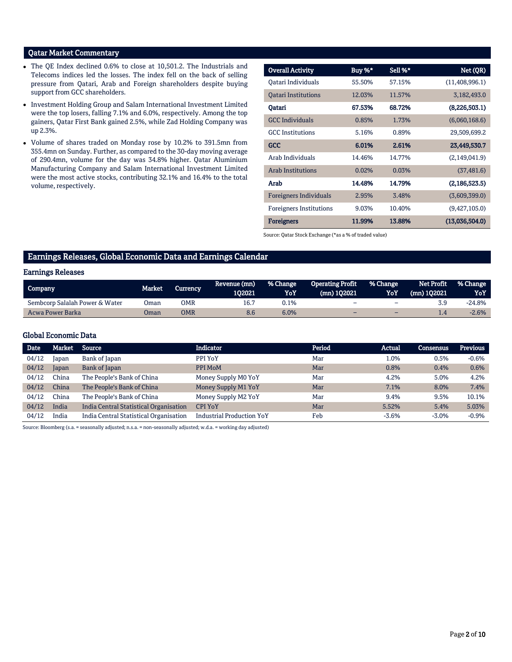# Qatar Market Commentary

- The QE Index declined 0.6% to close at 10,501.2. The Industrials and Telecoms indices led the losses. The index fell on the back of selling pressure from Qatari, Arab and Foreign shareholders despite buying support from GCC shareholders.
- Investment Holding Group and Salam International Investment Limited were the top losers, falling 7.1% and 6.0%, respectively. Among the top gainers, Qatar First Bank gained 2.5%, while Zad Holding Company was up 2.3%.
- Volume of shares traded on Monday rose by 10.2% to 391.5mn from 355.4mn on Sunday. Further, as compared to the 30-day moving average of 290.4mn, volume for the day was 34.8% higher. Qatar Aluminium Manufacturing Company and Salam International Investment Limited were the most active stocks, contributing 32.1% and 16.4% to the total volume, respectively.

| <b>Overall Activity</b>        | Buy %* | Sell %* | Net (QR)         |
|--------------------------------|--------|---------|------------------|
|                                |        |         |                  |
| Oatari Individuals             | 55.50% | 57.15%  | (11, 408, 996.1) |
| <b>Oatari Institutions</b>     | 12.03% | 11.57%  | 3,182,493.0      |
| Qatari                         | 67.53% | 68.72%  | (8,226,503.1)    |
| <b>GCC</b> Individuals         | 0.85%  | 1.73%   | (6,060,168.6)    |
| <b>GCC</b> Institutions        | 5.16%  | 0.89%   | 29,509,699.2     |
| <b>GCC</b>                     | 6.01%  | 2.61%   | 23,449,530.7     |
| Arab Individuals               | 14.46% | 14.77%  | (2,149,041.9)    |
| <b>Arab Institutions</b>       | 0.02%  | 0.03%   | (37, 481.6)      |
| Arab                           | 14.48% | 14.79%  | (2, 186, 523.5)  |
| Foreigners Individuals         | 2.95%  | 3.48%   | (3,609,399.0)    |
| <b>Foreigners Institutions</b> | 9.03%  | 10.40%  | (9,427,105.0)    |
| <b>Foreigners</b>              | 11.99% | 13.88%  | (13,036,504.0)   |

Source: Qatar Stock Exchange (\*as a % of traded value)

# Earnings Releases, Global Economic Data and Earnings Calendar

### Earnings Releases

| Company                        | Market | Currencv | Revenue (mn) | % Change | Operating Profit % Change |                          | Net Profit    | <b>1% Change</b> |
|--------------------------------|--------|----------|--------------|----------|---------------------------|--------------------------|---------------|------------------|
|                                |        |          | 102021       | YoY      | (mn) 102021               | YoY                      | . (mn) 102021 | YoY              |
| Sembcorp Salalah Power & Water | Oman   | OMR      | 16.7         | 0.1%     | -                         | $\overline{\phantom{0}}$ |               | -24.8%           |
| Acwa Power Barka               | Oman   | OMR      | 8.6          | 6.0%     |                           | -                        |               | $-2.6%$          |

# Global Economic Data

| <b>Date</b> | Market | Source                                 | <b>Indicator</b>                 | Period | Actual  | Consensus | <b>Previous</b> |
|-------------|--------|----------------------------------------|----------------------------------|--------|---------|-----------|-----------------|
| 04/12       | Japan  | Bank of Japan                          | PPI YoY                          | Mar    | $1.0\%$ | 0.5%      | $-0.6%$         |
| 04/12       | Japan  | Bank of Japan                          | PPI MoM                          | Mar    | 0.8%    | 0.4%      | 0.6%            |
| 04/12       | China  | The People's Bank of China             | Money Supply M0 YoY              | Mar    | 4.2%    | 5.0%      | 4.2%            |
| 04/12       | China  | The People's Bank of China             | Money Supply M1 YoY              | Mar    | 7.1%    | 8.0%      | 7.4%            |
| 04/12       | China  | The People's Bank of China             | Money Supply M2 YoY              | Mar    | 9.4%    | 9.5%      | 10.1%           |
| 04/12       | India  | India Central Statistical Organisation | <b>CPI YoY</b>                   | Mar    | 5.52%   | 5.4%      | 5.03%           |
| 04/12       | India  | India Central Statistical Organisation | <b>Industrial Production YoY</b> | Feb    | $-3.6%$ | $-3.0%$   | $-0.9%$         |

Source: Bloomberg (s.a. = seasonally adjusted; n.s.a. = non-seasonally adjusted; w.d.a. = working day adjusted)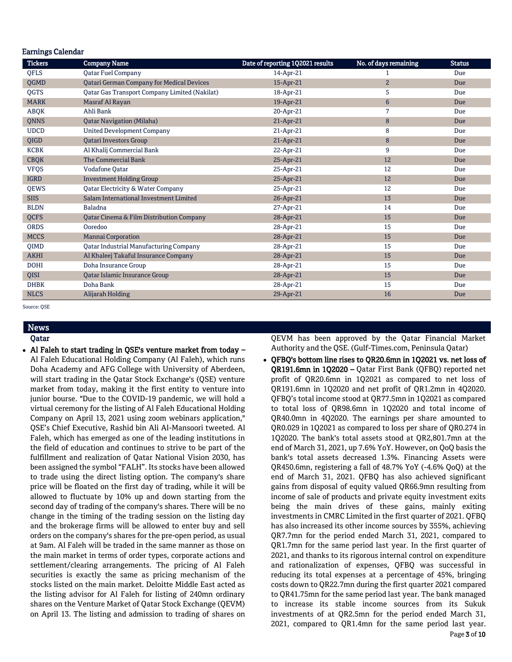| <b>Earnings Calendar</b> |                                                     |                                  |                       |               |  |  |  |  |  |
|--------------------------|-----------------------------------------------------|----------------------------------|-----------------------|---------------|--|--|--|--|--|
| <b>Tickers</b>           | <b>Company Name</b>                                 | Date of reporting 1Q2021 results | No. of days remaining | <b>Status</b> |  |  |  |  |  |
| <b>OFLS</b>              | <b>Oatar Fuel Company</b>                           | 14-Apr-21                        | 1                     | Due           |  |  |  |  |  |
| QGMD                     | <b>Qatari German Company for Medical Devices</b>    | 15-Apr-21                        | $\overline{2}$        | Due           |  |  |  |  |  |
| <b>OGTS</b>              | Oatar Gas Transport Company Limited (Nakilat)       | 18-Apr-21                        | 5                     | Due           |  |  |  |  |  |
| <b>MARK</b>              | Masraf Al Rayan                                     | 19-Apr-21                        | $6\phantom{1}6$       | Due           |  |  |  |  |  |
| ABQK                     | Ahli Bank                                           | 20-Apr-21                        | 7                     | Due           |  |  |  |  |  |
| QNNS                     | <b>Qatar Navigation (Milaha)</b>                    | 21-Apr-21                        | 8                     | Due           |  |  |  |  |  |
| <b>UDCD</b>              | <b>United Development Company</b>                   | 21-Apr-21                        | 8                     | Due           |  |  |  |  |  |
| QIGD                     | <b>Qatari Investors Group</b>                       | 21-Apr-21                        | 8                     | Due           |  |  |  |  |  |
| <b>KCBK</b>              | Al Khalij Commercial Bank                           | 22-Apr-21                        | 9                     | Due           |  |  |  |  |  |
| <b>CBQK</b>              | <b>The Commercial Bank</b>                          | 25-Apr-21                        | 12                    | Due           |  |  |  |  |  |
| <b>VFQS</b>              | <b>Vodafone Qatar</b>                               | 25-Apr-21                        | 12                    | Due           |  |  |  |  |  |
| <b>IGRD</b>              | <b>Investment Holding Group</b>                     | 25-Apr-21                        | 12                    | Due           |  |  |  |  |  |
| QEWS                     | Qatar Electricity & Water Company                   | 25-Apr-21                        | 12                    | Due           |  |  |  |  |  |
| <b>SIIS</b>              | Salam International Investment Limited              | 26-Apr-21                        | 13                    | Due           |  |  |  |  |  |
| <b>BLDN</b>              | Baladna                                             | 27-Apr-21                        | 14                    | Due           |  |  |  |  |  |
| <b>OCFS</b>              | <b>Qatar Cinema &amp; Film Distribution Company</b> | 28-Apr-21                        | 15                    | Due           |  |  |  |  |  |
| <b>ORDS</b>              | Ooredoo                                             | 28-Apr-21                        | 15                    | Due           |  |  |  |  |  |
| <b>MCCS</b>              | <b>Mannai Corporation</b>                           | 28-Apr-21                        | 15                    | Due           |  |  |  |  |  |
| <b>OIMD</b>              | <b>Qatar Industrial Manufacturing Company</b>       | 28-Apr-21                        | 15                    | Due           |  |  |  |  |  |
| <b>AKHI</b>              | Al Khaleej Takaful Insurance Company                | 28-Apr-21                        | 15                    | Due           |  |  |  |  |  |
| <b>DOHI</b>              | Doha Insurance Group                                | 28-Apr-21                        | 15                    | Due           |  |  |  |  |  |
| QISI                     | Qatar Islamic Insurance Group                       | 28-Apr-21                        | 15                    | Due           |  |  |  |  |  |
| <b>DHBK</b>              | Doha Bank                                           | 28-Apr-21                        | 15                    | Due           |  |  |  |  |  |
| <b>NLCS</b>              | Alijarah Holding                                    | 29-Apr-21                        | 16                    | Due           |  |  |  |  |  |

Source: QSE

# News Qatar

 Al Faleh to start trading in QSE's venture market from today – Al Faleh Educational Holding Company (Al Faleh), which runs Doha Academy and AFG College with University of Aberdeen, will start trading in the Qatar Stock Exchange's (QSE) venture market from today, making it the first entity to venture into junior bourse. "Due to the COVID-19 pandemic, we will hold a virtual ceremony for the listing of Al Faleh Educational Holding Company on April 13, 2021 using zoom webinars application," QSE's Chief Executive, Rashid bin Ali Al-Mansoori tweeted. Al Faleh, which has emerged as one of the leading institutions in the field of education and continues to strive to be part of the fulfillment and realization of Qatar National Vision 2030, has been assigned the symbol "FALH". Its stocks have been allowed to trade using the direct listing option. The company's share price will be floated on the first day of trading, while it will be allowed to fluctuate by 10% up and down starting from the second day of trading of the company's shares. There will be no change in the timing of the trading session on the listing day and the brokerage firms will be allowed to enter buy and sell orders on the company's shares for the pre-open period, as usual at 9am. Al Faleh will be traded in the same manner as those on the main market in terms of order types, corporate actions and settlement/clearing arrangements. The pricing of Al Faleh securities is exactly the same as pricing mechanism of the stocks listed on the main market. Deloitte Middle East acted as the listing advisor for Al Faleh for listing of 240mn ordinary shares on the Venture Market of Qatar Stock Exchange (QEVM) on April 13. The listing and admission to trading of shares on QEVM has been approved by the Qatar Financial Market Authority and the QSE. (Gulf-Times.com, Peninsula Qatar)

 QFBQ's bottom line rises to QR20.6mn in 1Q2021 vs. net loss of QR191.6mn in 1Q2020 – Qatar First Bank (QFBQ) reported net profit of QR20.6mn in 1Q2021 as compared to net loss of QR191.6mn in 1Q2020 and net profit of QR1.2mn in 4Q2020. QFBQ's total income stood at QR77.5mn in 1Q2021 as compared to total loss of QR98.6mn in 1Q2020 and total income of QR40.0mn in 4Q2020. The earnings per share amounted to QR0.029 in 1Q2021 as compared to loss per share of QR0.274 in 1Q2020. The bank's total assets stood at QR2,801.7mn at the end of March 31, 2021, up 7.6% YoY. However, on QoQ basis the bank's total assets decreased 1.3%. Financing Assets were QR450.6mn, registering a fall of 48.7% YoY (-4.6% QoQ) at the end of March 31, 2021. QFBQ has also achieved significant gains from disposal of equity valued QR66.9mn resulting from income of sale of products and private equity investment exits being the main drives of these gains, mainly exiting investments in CMRC Limited in the first quarter of 2021. QFBQ has also increased its other income sources by 355%, achieving QR7.7mn for the period ended March 31, 2021, compared to QR1.7mn for the same period last year. In the first quarter of 2021, and thanks to its rigorous internal control on expenditure and rationalization of expenses, QFBQ was successful in reducing its total expenses at a percentage of 45%, bringing costs down to QR22.7mn during the first quarter 2021 compared to QR41.75mn for the same period last year. The bank managed to increase its stable income sources from its Sukuk investments of at QR2.5mn for the period ended March 31, 2021, compared to QR1.4mn for the same period last year.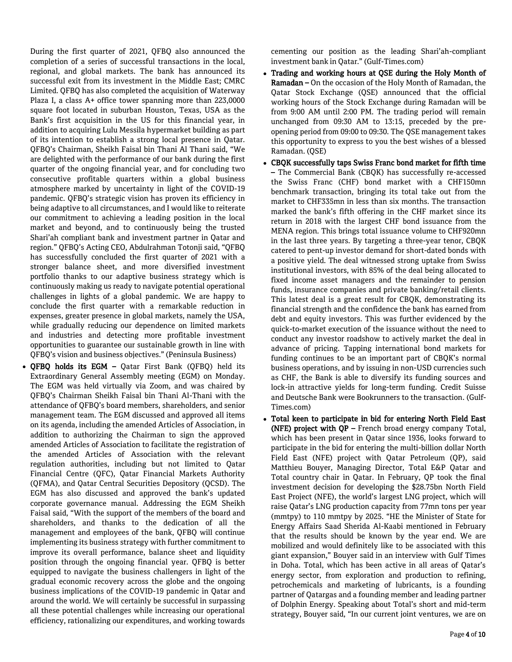During the first quarter of 2021, QFBQ also announced the completion of a series of successful transactions in the local, regional, and global markets. The bank has announced its successful exit from its investment in the Middle East; CMRC Limited. QFBQ has also completed the acquisition of Waterway Plaza I, a class A+ office tower spanning more than 223,0000 square foot located in suburban Houston, Texas, USA as the Bank's first acquisition in the US for this financial year, in addition to acquiring Lulu Messila hypermarket building as part of its intention to establish a strong local presence in Qatar. QFBQ's Chairman, Sheikh Faisal bin Thani Al Thani said, "We are delighted with the performance of our bank during the first quarter of the ongoing financial year, and for concluding two consecutive profitable quarters within a global business atmosphere marked by uncertainty in light of the COVID-19 pandemic. QFBQ's strategic vision has proven its efficiency in being adaptive to all circumstances, and I would like to reiterate our commitment to achieving a leading position in the local market and beyond, and to continuously being the trusted Shari'ah compliant bank and investment partner in Qatar and region." QFBQ's Acting CEO, Abdulrahman Totonji said, "QFBQ has successfully concluded the first quarter of 2021 with a stronger balance sheet, and more diversified investment portfolio thanks to our adaptive business strategy which is continuously making us ready to navigate potential operational challenges in lights of a global pandemic. We are happy to conclude the first quarter with a remarkable reduction in expenses, greater presence in global markets, namely the USA, while gradually reducing our dependence on limited markets and industries and detecting more profitable investment opportunities to guarantee our sustainable growth in line with QFBQ's vision and business objectives." (Peninsula Business)

 QFBQ holds its EGM – Qatar First Bank (QFBQ) held its Extraordinary General Assembly meeting (EGM) on Monday. The EGM was held virtually via Zoom, and was chaired by QFBQ's Chairman Sheikh Faisal bin Thani Al-Thani with the attendance of QFBQ's board members, shareholders, and senior management team. The EGM discussed and approved all items on its agenda, including the amended Articles of Association, in addition to authorizing the Chairman to sign the approved amended Articles of Association to facilitate the registration of the amended Articles of Association with the relevant regulation authorities, including but not limited to Qatar Financial Centre (QFC), Qatar Financial Markets Authority (QFMA), and Qatar Central Securities Depository (QCSD). The EGM has also discussed and approved the bank's updated corporate governance manual. Addressing the EGM Sheikh Faisal said, "With the support of the members of the board and shareholders, and thanks to the dedication of all the management and employees of the bank, QFBQ will continue implementing its business strategy with further commitment to improve its overall performance, balance sheet and liquidity position through the ongoing financial year. QFBQ is better equipped to navigate the business challengers in light of the gradual economic recovery across the globe and the ongoing business implications of the COVID-19 pandemic in Qatar and around the world. We will certainly be successful in surpassing all these potential challenges while increasing our operational efficiency, rationalizing our expenditures, and working towards

cementing our position as the leading Shari'ah-compliant investment bank in Qatar." (Gulf-Times.com)

- Trading and working hours at QSE during the Holy Month of Ramadan – On the occasion of the Holy Month of Ramadan, the Qatar Stock Exchange (QSE) announced that the official working hours of the Stock Exchange during Ramadan will be from 9:00 AM until 2:00 PM. The trading period will remain unchanged from 09:30 AM to 13:15, preceded by the preopening period from 09:00 to 09:30. The QSE management takes this opportunity to express to you the best wishes of a blessed Ramadan. (QSE)
- CBQK successfully taps Swiss Franc bond market for fifth time – The Commercial Bank (CBQK) has successfully re-accessed the Swiss Franc (CHF) bond market with a CHF150mn benchmark transaction, bringing its total take out from the market to CHF335mn in less than six months. The transaction marked the bank's fifth offering in the CHF market since its return in 2018 with the largest CHF bond issuance from the MENA region. This brings total issuance volume to CHF920mn in the last three years. By targeting a three-year tenor, CBQK catered to pent-up investor demand for short-dated bonds with a positive yield. The deal witnessed strong uptake from Swiss institutional investors, with 85% of the deal being allocated to fixed income asset managers and the remainder to pension funds, insurance companies and private banking/retail clients. This latest deal is a great result for CBQK, demonstrating its financial strength and the confidence the bank has earned from debt and equity investors. This was further evidenced by the quick-to-market execution of the issuance without the need to conduct any investor roadshow to actively market the deal in advance of pricing. Tapping international bond markets for funding continues to be an important part of CBQK's normal business operations, and by issuing in non-USD currencies such as CHF, the Bank is able to diversify its funding sources and lock-in attractive yields for long-term funding. Credit Suisse and Deutsche Bank were Bookrunners to the transaction. (Gulf-Times.com)
- Total keen to participate in bid for entering North Field East (NFE) project with QP – French broad energy company Total, which has been present in Qatar since 1936, looks forward to participate in the bid for entering the multi-billion dollar North Field East (NFE) project with Qatar Petroleum (QP), said Matthieu Bouyer, Managing Director, Total E&P Qatar and Total country chair in Qatar. In February, QP took the final investment decision for developing the \$28.75bn North Field East Project (NFE), the world's largest LNG project, which will raise Qatar's LNG production capacity from 77mn tons per year (mmtpy) to 110 mmtpy by 2025. "HE the Minister of State for Energy Affairs Saad Sherida Al-Kaabi mentioned in February that the results should be known by the year end. We are mobilized and would definitely like to be associated with this giant expansion," Bouyer said in an interview with Gulf Times in Doha. Total, which has been active in all areas of Qatar's energy sector, from exploration and production to refining, petrochemicals and marketing of lubricants, is a founding partner of Qatargas and a founding member and leading partner of Dolphin Energy. Speaking about Total's short and mid-term strategy, Bouyer said, "In our current joint ventures, we are on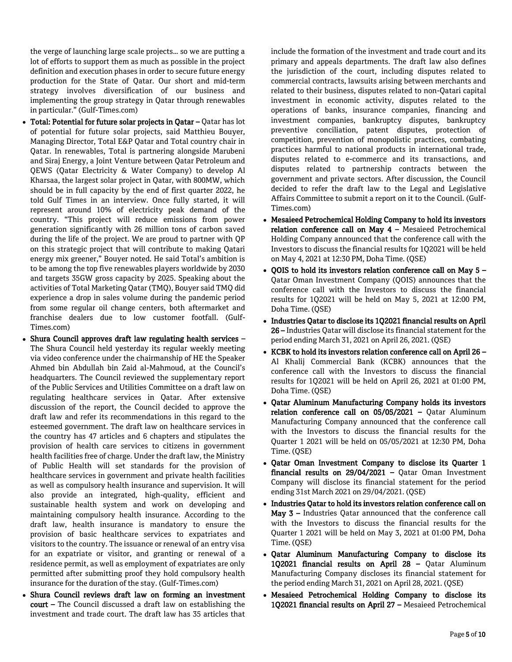the verge of launching large scale projects… so we are putting a lot of efforts to support them as much as possible in the project definition and execution phases in order to secure future energy production for the State of Qatar. Our short and mid-term strategy involves diversification of our business and implementing the group strategy in Qatar through renewables in particular." (Gulf-Times.com)

- Total: Potential for future solar projects in Qatar Qatar has lot of potential for future solar projects, said Matthieu Bouyer, Managing Director, Total E&P Qatar and Total country chair in Qatar. In renewables, Total is partnering alongside Marubeni and Siraj Energy, a Joint Venture between Qatar Petroleum and QEWS (Qatar Electricity & Water Company) to develop Al Kharsaa, the largest solar project in Qatar, with 800MW, which should be in full capacity by the end of first quarter 2022, he told Gulf Times in an interview. Once fully started, it will represent around 10% of electricity peak demand of the country. "This project will reduce emissions from power generation significantly with 26 million tons of carbon saved during the life of the project. We are proud to partner with QP on this strategic project that will contribute to making Qatari energy mix greener," Bouyer noted. He said Total's ambition is to be among the top five renewables players worldwide by 2030 and targets 35GW gross capacity by 2025. Speaking about the activities of Total Marketing Qatar (TMQ), Bouyer said TMQ did experience a drop in sales volume during the pandemic period from some regular oil change centers, both aftermarket and franchise dealers due to low customer footfall. (Gulf-Times.com)
- Shura Council approves draft law regulating health services -The Shura Council held yesterday its regular weekly meeting via video conference under the chairmanship of HE the Speaker Ahmed bin Abdullah bin Zaid al-Mahmoud, at the Council's headquarters. The Council reviewed the supplementary report of the Public Services and Utilities Committee on a draft law on regulating healthcare services in Qatar. After extensive discussion of the report, the Council decided to approve the draft law and refer its recommendations in this regard to the esteemed government. The draft law on healthcare services in the country has 47 articles and 6 chapters and stipulates the provision of health care services to citizens in government health facilities free of charge. Under the draft law, the Ministry of Public Health will set standards for the provision of healthcare services in government and private health facilities as well as compulsory health insurance and supervision. It will also provide an integrated, high-quality, efficient and sustainable health system and work on developing and maintaining compulsory health insurance. According to the draft law, health insurance is mandatory to ensure the provision of basic healthcare services to expatriates and visitors to the country. The issuance or renewal of an entry visa for an expatriate or visitor, and granting or renewal of a residence permit, as well as employment of expatriates are only permitted after submitting proof they hold compulsory health insurance for the duration of the stay. (Gulf-Times.com)
- Shura Council reviews draft law on forming an investment court – The Council discussed a draft law on establishing the investment and trade court. The draft law has 35 articles that

include the formation of the investment and trade court and its primary and appeals departments. The draft law also defines the jurisdiction of the court, including disputes related to commercial contracts, lawsuits arising between merchants and related to their business, disputes related to non-Qatari capital investment in economic activity, disputes related to the operations of banks, insurance companies, financing and investment companies, bankruptcy disputes, bankruptcy preventive conciliation, patent disputes, protection of competition, prevention of monopolistic practices, combating practices harmful to national products in international trade, disputes related to e-commerce and its transactions, and disputes related to partnership contracts between the government and private sectors. After discussion, the Council decided to refer the draft law to the Legal and Legislative Affairs Committee to submit a report on it to the Council. (Gulf-Times.com)

- Mesaieed Petrochemical Holding Company to hold its investors relation conference call on May  $4$  – Mesaieed Petrochemical Holding Company announced that the conference call with the Investors to discuss the financial results for 1Q2021 will be held on May 4, 2021 at 12:30 PM, Doha Time. (QSE)
- QOIS to hold its investors relation conference call on May 5 Qatar Oman Investment Company (QOIS) announces that the conference call with the Investors to discuss the financial results for 1Q2021 will be held on May 5, 2021 at 12:00 PM, Doha Time. (QSE)
- Industries Qatar to disclose its 1Q2021 financial results on April 26 – Industries Qatar will disclose its financial statement for the period ending March 31, 2021 on April 26, 2021. (QSE)
- KCBK to hold its investors relation conference call on April 26 Al Khalij Commercial Bank (KCBK) announces that the conference call with the Investors to discuss the financial results for 1Q2021 will be held on April 26, 2021 at 01:00 PM, Doha Time. (QSE)
- Qatar Aluminum Manufacturing Company holds its investors relation conference call on 05/05/2021 – Qatar Aluminum Manufacturing Company announced that the conference call with the Investors to discuss the financial results for the Quarter 1 2021 will be held on 05/05/2021 at 12:30 PM, Doha Time. (QSE)
- Qatar Oman Investment Company to disclose its Quarter 1 financial results on 29/04/2021 – Qatar Oman Investment Company will disclose its financial statement for the period ending 31st March 2021 on 29/04/2021. (QSE)
- Industries Qatar to hold its investors relation conference call on May 3 – Industries Qatar announced that the conference call with the Investors to discuss the financial results for the Quarter 1 2021 will be held on May 3, 2021 at 01:00 PM, Doha Time. (QSE)
- Qatar Aluminum Manufacturing Company to disclose its 1Q2021 financial results on April 28 – Qatar Aluminum Manufacturing Company discloses its financial statement for the period ending March 31, 2021 on April 28, 2021. (QSE)
- Mesaieed Petrochemical Holding Company to disclose its 1Q2021 financial results on April 27 – Mesaieed Petrochemical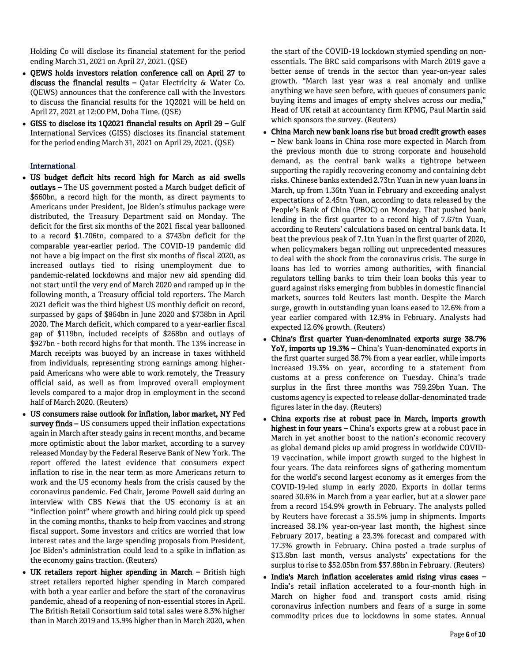Holding Co will disclose its financial statement for the period ending March 31, 2021 on April 27, 2021. (QSE)

- OEWS holds investors relation conference call on April 27 to discuss the financial results  $-$  Qatar Electricity & Water Co. (QEWS) announces that the conference call with the Investors to discuss the financial results for the 1Q2021 will be held on April 27, 2021 at 12:00 PM, Doha Time. (QSE)
- GISS to disclose its 1Q2021 financial results on April 29 Gulf International Services (GISS) discloses its financial statement for the period ending March 31, 2021 on April 29, 2021. (QSE)

# International

- US budget deficit hits record high for March as aid swells outlays – The US government posted a March budget deficit of \$660bn, a record high for the month, as direct payments to Americans under President, Joe Biden's stimulus package were distributed, the Treasury Department said on Monday. The deficit for the first six months of the 2021 fiscal year ballooned to a record \$1.706tn, compared to a \$743bn deficit for the comparable year-earlier period. The COVID-19 pandemic did not have a big impact on the first six months of fiscal 2020, as increased outlays tied to rising unemployment due to pandemic-related lockdowns and major new aid spending did not start until the very end of March 2020 and ramped up in the following month, a Treasury official told reporters. The March 2021 deficit was the third highest US monthly deficit on record, surpassed by gaps of \$864bn in June 2020 and \$738bn in April 2020. The March deficit, which compared to a year-earlier fiscal gap of \$119bn, included receipts of \$268bn and outlays of \$927bn - both record highs for that month. The 13% increase in March receipts was buoyed by an increase in taxes withheld from individuals, representing strong earnings among higherpaid Americans who were able to work remotely, the Treasury official said, as well as from improved overall employment levels compared to a major drop in employment in the second half of March 2020. (Reuters)
- US consumers raise outlook for inflation, labor market, NY Fed survey finds - US consumers upped their inflation expectations again in March after steady gains in recent months, and became more optimistic about the labor market, according to a survey released Monday by the Federal Reserve Bank of New York. The report offered the latest evidence that consumers expect inflation to rise in the near term as more Americans return to work and the US economy heals from the crisis caused by the coronavirus pandemic. Fed Chair, Jerome Powell said during an interview with CBS News that the US economy is at an "inflection point" where growth and hiring could pick up speed in the coming months, thanks to help from vaccines and strong fiscal support. Some investors and critics are worried that low interest rates and the large spending proposals from President, Joe Biden's administration could lead to a spike in inflation as the economy gains traction. (Reuters)
- UK retailers report higher spending in March British high street retailers reported higher spending in March compared with both a year earlier and before the start of the coronavirus pandemic, ahead of a reopening of non-essential stores in April. The British Retail Consortium said total sales were 8.3% higher than in March 2019 and 13.9% higher than in March 2020, when

the start of the COVID-19 lockdown stymied spending on nonessentials. The BRC said comparisons with March 2019 gave a better sense of trends in the sector than year-on-year sales growth. "March last year was a real anomaly and unlike anything we have seen before, with queues of consumers panic buying items and images of empty shelves across our media," Head of UK retail at accountancy firm KPMG, Paul Martin said which sponsors the survey. (Reuters)

- China March new bank loans rise but broad credit growth eases – New bank loans in China rose more expected in March from the previous month due to strong corporate and household demand, as the central bank walks a tightrope between supporting the rapidly recovering economy and containing debt risks. Chinese banks extended 2.73tn Yuan in new yuan loans in March, up from 1.36tn Yuan in February and exceeding analyst expectations of 2.45tn Yuan, according to data released by the People's Bank of China (PBOC) on Monday. That pushed bank lending in the first quarter to a record high of 7.67tn Yuan, according to Reuters' calculations based on central bank data. It beat the previous peak of 7.1tn Yuan in the first quarter of 2020, when policymakers began rolling out unprecedented measures to deal with the shock from the coronavirus crisis. The surge in loans has led to worries among authorities, with financial regulators telling banks to trim their loan books this year to guard against risks emerging from bubbles in domestic financial markets, sources told Reuters last month. Despite the March surge, growth in outstanding yuan loans eased to 12.6% from a year earlier compared with 12.9% in February. Analysts had expected 12.6% growth. (Reuters)
- China's first quarter Yuan-denominated exports surge 38.7% YoY, imports up 19.3% – China's Yuan-denominated exports in the first quarter surged 38.7% from a year earlier, while imports increased 19.3% on year, according to a statement from customs at a press conference on Tuesday. China's trade surplus in the first three months was 759.29bn Yuan. The customs agency is expected to release dollar-denominated trade figures later in the day. (Reuters)
- China exports rise at robust pace in March, imports growth highest in four years - China's exports grew at a robust pace in March in yet another boost to the nation's economic recovery as global demand picks up amid progress in worldwide COVID-19 vaccination, while import growth surged to the highest in four years. The data reinforces signs of gathering momentum for the world's second largest economy as it emerges from the COVID-19-led slump in early 2020. Exports in dollar terms soared 30.6% in March from a year earlier, but at a slower pace from a record 154.9% growth in February. The analysts polled by Reuters have forecast a 35.5% jump in shipments. Imports increased 38.1% year-on-year last month, the highest since February 2017, beating a 23.3% forecast and compared with 17.3% growth in February. China posted a trade surplus of \$13.8bn last month, versus analysts' expectations for the surplus to rise to \$52.05bn from \$37.88bn in February. (Reuters)
- India's March inflation accelerates amid rising virus cases -India's retail inflation accelerated to a four-month high in March on higher food and transport costs amid rising coronavirus infection numbers and fears of a surge in some commodity prices due to lockdowns in some states. Annual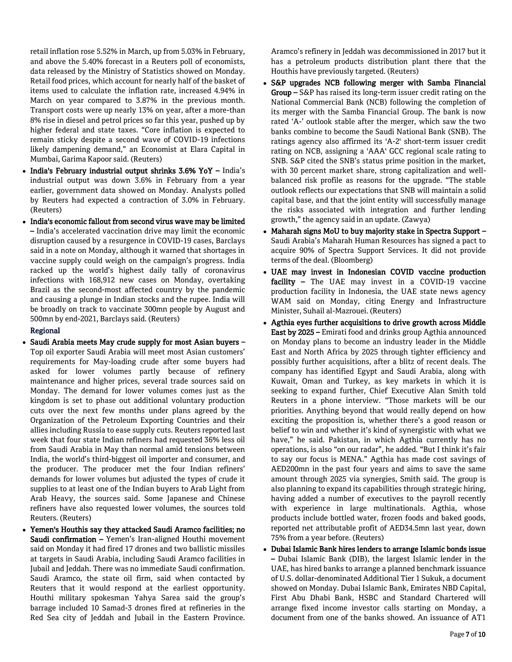retail inflation rose 5.52% in March, up from 5.03% in February, and above the 5.40% forecast in a Reuters poll of economists, data released by the Ministry of Statistics showed on Monday. Retail food prices, which account for nearly half of the basket of items used to calculate the inflation rate, increased 4.94% in March on year compared to 3.87% in the previous month. Transport costs were up nearly 13% on year, after a more-than 8% rise in diesel and petrol prices so far this year, pushed up by higher federal and state taxes. "Core inflation is expected to remain sticky despite a second wave of COVID-19 infections likely dampening demand," an Economist at Elara Capital in Mumbai, Garima Kapoor said. (Reuters)

- India's February industrial output shrinks 3.6% YoY India's industrial output was down 3.6% in February from a year earlier, government data showed on Monday. Analysts polled by Reuters had expected a contraction of 3.0% in February. (Reuters)
- India's economic fallout from second virus wave may be limited – India's accelerated vaccination drive may limit the economic disruption caused by a resurgence in COVID-19 cases, Barclays said in a note on Monday, although it warned that shortages in vaccine supply could weigh on the campaign's progress. India racked up the world's highest daily tally of coronavirus infections with 168,912 new cases on Monday, overtaking Brazil as the second-most affected country by the pandemic and causing a plunge in Indian stocks and the rupee. India will be broadly on track to vaccinate 300mn people by August and 500mn by end-2021, Barclays said. (Reuters)

# Regional

- Saudi Arabia meets May crude supply for most Asian buyers -Top oil exporter Saudi Arabia will meet most Asian customers' requirements for May-loading crude after some buyers had asked for lower volumes partly because of refinery maintenance and higher prices, several trade sources said on Monday. The demand for lower volumes comes just as the kingdom is set to phase out additional voluntary production cuts over the next few months under plans agreed by the Organization of the Petroleum Exporting Countries and their allies including Russia to ease supply cuts. Reuters reported last week that four state Indian refiners had requested 36% less oil from Saudi Arabia in May than normal amid tensions between India, the world's third-biggest oil importer and consumer, and the producer. The producer met the four Indian refiners' demands for lower volumes but adjusted the types of crude it supplies to at least one of the Indian buyers to Arab Light from Arab Heavy, the sources said. Some Japanese and Chinese refiners have also requested lower volumes, the sources told Reuters. (Reuters)
- Yemen's Houthis say they attacked Saudi Aramco facilities; no Saudi confirmation – Yemen's Iran-aligned Houthi movement said on Monday it had fired 17 drones and two ballistic missiles at targets in Saudi Arabia, including Saudi Aramco facilities in Jubail and Jeddah. There was no immediate Saudi confirmation. Saudi Aramco, the state oil firm, said when contacted by Reuters that it would respond at the earliest opportunity. Houthi military spokesman Yahya Sarea said the group's barrage included 10 Samad-3 drones fired at refineries in the Red Sea city of Jeddah and Jubail in the Eastern Province.

Aramco's refinery in Jeddah was decommissioned in 2017 but it has a petroleum products distribution plant there that the Houthis have previously targeted. (Reuters)

- S&P upgrades NCB following merger with Samba Financial Group – S&P has raised its long-term issuer credit rating on the National Commercial Bank (NCB) following the completion of its merger with the Samba Financial Group. The bank is now rated 'A-' outlook stable after the merger, which saw the two banks combine to become the Saudi National Bank (SNB). The ratings agency also affirmed its 'A-2' short-term issuer credit rating on NCB, assigning a 'AAA' GCC regional scale rating to SNB. S&P cited the SNB's status prime position in the market, with 30 percent market share, strong capitalization and wellbalanced risk profile as reasons for the upgrade. "The stable outlook reflects our expectations that SNB will maintain a solid capital base, and that the joint entity will successfully manage the risks associated with integration and further lending growth," the agency said in an update. (Zawya)
- Maharah signs MoU to buy majority stake in Spectra Support Saudi Arabia's Maharah Human Resources has signed a pact to acquire 90% of Spectra Support Services. It did not provide terms of the deal. (Bloomberg)
- UAE may invest in Indonesian COVID vaccine production facility - The UAE may invest in a COVID-19 vaccine production facility in Indonesia, the UAE state news agency WAM said on Monday, citing Energy and Infrastructure Minister, Suhail al-Mazrouei. (Reuters)
- Agthia eyes further acquisitions to drive growth across Middle East by 2025 – Emirati food and drinks group Agthia announced on Monday plans to become an industry leader in the Middle East and North Africa by 2025 through tighter efficiency and possibly further acquisitions, after a blitz of recent deals. The company has identified Egypt and Saudi Arabia, along with Kuwait, Oman and Turkey, as key markets in which it is seeking to expand further, Chief Executive Alan Smith told Reuters in a phone interview. "Those markets will be our priorities. Anything beyond that would really depend on how exciting the proposition is, whether there's a good reason or belief to win and whether it's kind of synergistic with what we have," he said. Pakistan, in which Agthia currently has no operations, is also "on our radar", he added. "But I think it's fair to say our focus is MENA." Agthia has made cost savings of AED200mn in the past four years and aims to save the same amount through 2025 via synergies, Smith said. The group is also planning to expand its capabilities through strategic hiring, having added a number of executives to the payroll recently with experience in large multinationals. Agthia, whose products include bottled water, frozen foods and baked goods, reported net attributable profit of AED34.5mn last year, down 75% from a year before. (Reuters)
- Dubai Islamic Bank hires lenders to arrange Islamic bonds issue – Dubai Islamic Bank (DIB), the largest Islamic lender in the UAE, has hired banks to arrange a planned benchmark issuance of U.S. dollar-denominated Additional Tier 1 Sukuk, a document showed on Monday. Dubai Islamic Bank, Emirates NBD Capital, First Abu Dhabi Bank, HSBC and Standard Chartered will arrange fixed income investor calls starting on Monday, a document from one of the banks showed. An issuance of AT1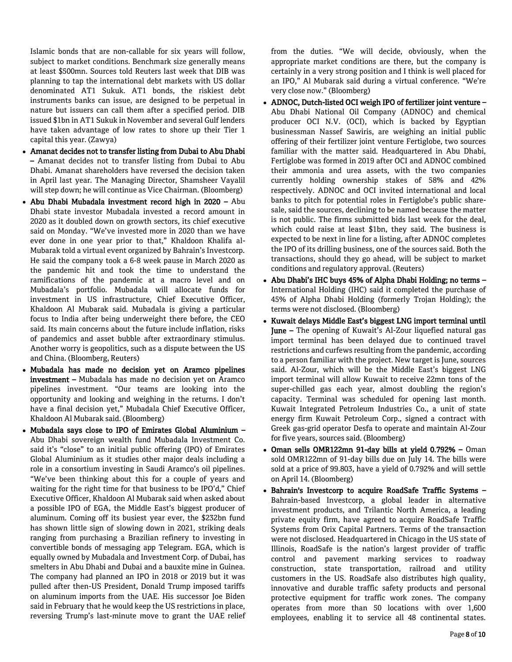Islamic bonds that are non-callable for six years will follow, subject to market conditions. Benchmark size generally means at least \$500mn. Sources told Reuters last week that DIB was planning to tap the international debt markets with US dollar denominated AT1 Sukuk. AT1 bonds, the riskiest debt instruments banks can issue, are designed to be perpetual in nature but issuers can call them after a specified period. DIB issued \$1bn in AT1 Sukuk in November and several Gulf lenders have taken advantage of low rates to shore up their Tier 1 capital this year. (Zawya)

- Amanat decides not to transfer listing from Dubai to Abu Dhabi – Amanat decides not to transfer listing from Dubai to Abu Dhabi. Amanat shareholders have reversed the decision taken in April last year. The Managing Director, Shamsheer Vayalil will step down; he will continue as Vice Chairman. (Bloomberg)
- Abu Dhabi Mubadala investment record high in 2020 Abu Dhabi state investor Mubadala invested a record amount in 2020 as it doubled down on growth sectors, its chief executive said on Monday. "We've invested more in 2020 than we have ever done in one year prior to that," Khaldoon Khalifa al-Mubarak told a virtual event organized by Bahrain's Investcorp. He said the company took a 6-8 week pause in March 2020 as the pandemic hit and took the time to understand the ramifications of the pandemic at a macro level and on Mubadala's portfolio. Mubadala will allocate funds for investment in US infrastructure, Chief Executive Officer, Khaldoon Al Mubarak said. Mubadala is giving a particular focus to India after being underweight there before, the CEO said. Its main concerns about the future include inflation, risks of pandemics and asset bubble after extraordinary stimulus. Another worry is geopolitics, such as a dispute between the US and China. (Bloomberg, Reuters)
- Mubadala has made no decision yet on Aramco pipelines investment – Mubadala has made no decision yet on Aramco pipelines investment. "Our teams are looking into the opportunity and looking and weighing in the returns. I don't have a final decision yet," Mubadala Chief Executive Officer, Khaldoon Al Mubarak said. (Bloomberg)
- Mubadala says close to IPO of Emirates Global Aluminium Abu Dhabi sovereign wealth fund Mubadala Investment Co. said it's "close" to an initial public offering (IPO) of Emirates Global Aluminium as it studies other major deals including a role in a consortium investing in Saudi Aramco's oil pipelines. "We've been thinking about this for a couple of years and waiting for the right time for that business to be IPO'd," Chief Executive Officer, Khaldoon Al Mubarak said when asked about a possible IPO of EGA, the Middle East's biggest producer of aluminum. Coming off its busiest year ever, the \$232bn fund has shown little sign of slowing down in 2021, striking deals ranging from purchasing a Brazilian refinery to investing in convertible bonds of messaging app Telegram. EGA, which is equally owned by Mubadala and Investment Corp. of Dubai, has smelters in Abu Dhabi and Dubai and a bauxite mine in Guinea. The company had planned an IPO in 2018 or 2019 but it was pulled after then-US President, Donald Trump imposed tariffs on aluminum imports from the UAE. His successor Joe Biden said in February that he would keep the US restrictions in place, reversing Trump's last-minute move to grant the UAE relief

from the duties. "We will decide, obviously, when the appropriate market conditions are there, but the company is certainly in a very strong position and I think is well placed for an IPO," Al Mubarak said during a virtual conference. "We're very close now." (Bloomberg)

- ADNOC, Dutch-listed OCI weigh IPO of fertilizer joint venture Abu Dhabi National Oil Company (ADNOC) and chemical producer OCI N.V. (OCI), which is backed by Egyptian businessman Nassef Sawiris, are weighing an initial public offering of their fertilizer joint venture Fertiglobe, two sources familiar with the matter said. Headquartered in Abu Dhabi, Fertiglobe was formed in 2019 after OCI and ADNOC combined their ammonia and urea assets, with the two companies currently holding ownership stakes of 58% and 42% respectively. ADNOC and OCI invited international and local banks to pitch for potential roles in Fertiglobe's public sharesale, said the sources, declining to be named because the matter is not public. The firms submitted bids last week for the deal, which could raise at least \$1bn, they said. The business is expected to be next in line for a listing, after ADNOC completes the IPO of its drilling business, one of the sources said. Both the transactions, should they go ahead, will be subject to market conditions and regulatory approval. (Reuters)
- Abu Dhabi's IHC buys 45% of Alpha Dhabi Holding; no terms International Holding (IHC) said it completed the purchase of 45% of Alpha Dhabi Holding (formerly Trojan Holding); the terms were not disclosed. (Bloomberg)
- Kuwait delays Middle East's biggest LNG import terminal until June – The opening of Kuwait's Al-Zour liquefied natural gas import terminal has been delayed due to continued travel restrictions and curfews resulting from the pandemic, according to a person familiar with the project. New target is June, sources said. Al-Zour, which will be the Middle East's biggest LNG import terminal will allow Kuwait to receive 22mn tons of the super-chilled gas each year, almost doubling the region's capacity. Terminal was scheduled for opening last month. Kuwait Integrated Petroleum Industries Co., a unit of state energy firm Kuwait Petroleum Corp., signed a contract with Greek gas-grid operator Desfa to operate and maintain Al-Zour for five years, sources said. (Bloomberg)
- Oman sells OMR122mn 91-day bills at yield 0.792% Oman sold OMR122mn of 91-day bills due on July 14. The bills were sold at a price of 99.803, have a yield of 0.792% and will settle on April 14. (Bloomberg)
- Bahrain's Investcorp to acquire RoadSafe Traffic Systems Bahrain-based Investcorp, a global leader in alternative investment products, and Trilantic North America, a leading private equity firm, have agreed to acquire RoadSafe Traffic Systems from Orix Capital Partners. Terms of the transaction were not disclosed. Headquartered in Chicago in the US state of Illinois, RoadSafe is the nation's largest provider of traffic control and pavement marking services to roadway construction, state transportation, railroad and utility customers in the US. RoadSafe also distributes high quality, innovative and durable traffic safety products and personal protective equipment for traffic work zones. The company operates from more than 50 locations with over 1,600 employees, enabling it to service all 48 continental states.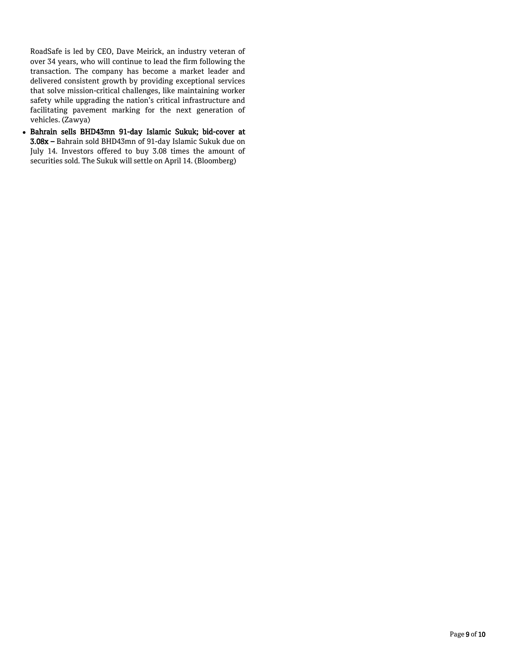RoadSafe is led by CEO, Dave Meirick, an industry veteran of over 34 years, who will continue to lead the firm following the transaction. The company has become a market leader and delivered consistent growth by providing exceptional services that solve mission-critical challenges, like maintaining worker safety while upgrading the nation's critical infrastructure and facilitating pavement marking for the next generation of vehicles. (Zawya)

 Bahrain sells BHD43mn 91-day Islamic Sukuk; bid-cover at 3.08x – Bahrain sold BHD43mn of 91-day Islamic Sukuk due on July 14. Investors offered to buy 3.08 times the amount of securities sold. The Sukuk will settle on April 14. (Bloomberg)